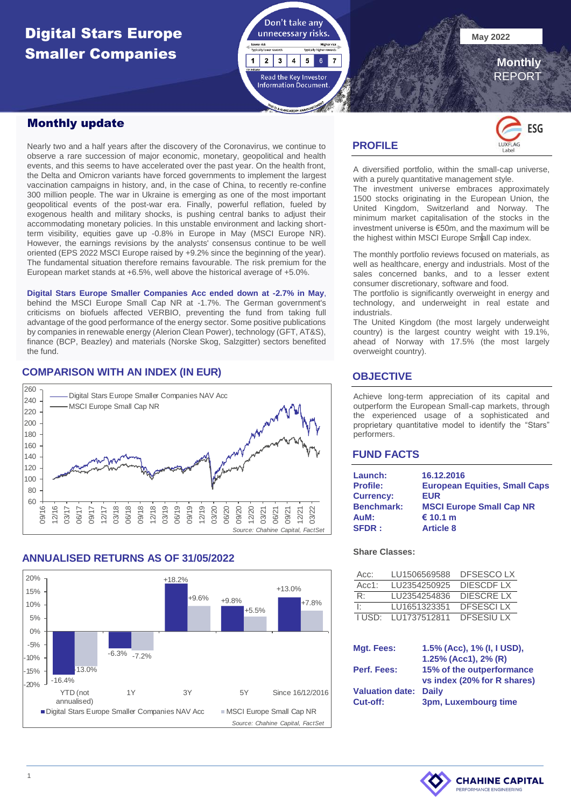# **Digital Stars Europe May 2022 May 2022** Smaller Companies



 **Monthly**

REPORT

### Monthly update

Nearly two and a half years after the discovery of the Coronavirus, we continue to observe a rare succession of major economic, monetary, geopolitical and health events, and this seems to have accelerated over the past year. On the health front, the Delta and Omicron variants have forced governments to implement the largest vaccination campaigns in history, and, in the case of China, to recently re-confine 300 million people. The war in Ukraine is emerging as one of the most important geopolitical events of the post-war era. Finally, powerful reflation, fueled by exogenous health and military shocks, is pushing central banks to adjust their accommodating monetary policies. In this unstable environment and lacking shortterm visibility, equities gave up -0.8% in Europe in May (MSCI Europe NR). However, the earnings revisions by the analysts' consensus continue to be well oriented (EPS 2022 MSCI Europe raised by +9.2% since the beginning of the year). The fundamental situation therefore remains favourable. The risk premium for the European market stands at +6.5%, well above the historical average of +5.0%.

**Digital Stars Europe Smaller Companies Acc ended down at -2.7% in May**, behind the MSCI Europe Small Cap NR at -1.7%. The German government's criticisms on biofuels affected VERBIO, preventing the fund from taking full advantage of the good performance of the energy sector. Some positive publications by companies in renewable energy (Alerion Clean Power), technology (GFT, AT&S), finance (BCP, Beazley) and materials (Norske Skog, Salzgitter) sectors benefited the fund.

## **COMPARISON WITH AN INDEX (IN EUR)**



### **ANNUALISED RETURNS AS OF 31/05/2022**



### **PROFILE**



A diversified portfolio, within the small-cap universe, with a purely quantitative management style.

The investment universe embraces approximately 1500 stocks originating in the European Union, the United Kingdom, Switzerland and Norway. The minimum market capitalisation of the stocks in the investment universe is €50m, and the maximum will be the highest within MSCI Europe Small Cap index.

The monthly portfolio reviews focused on materials, as well as healthcare, energy and industrials. Most of the sales concerned banks, and to a lesser extent consumer discretionary, software and food.

The portfolio is significantly overweight in energy and technology, and underweight in real estate and industrials.

The United Kingdom (the most largely underweight country) is the largest country weight with 19.1%, ahead of Norway with 17.5% (the most largely overweight country).

### **OBJECTIVE**

Achieve long-term appreciation of its capital and outperform the European Small-cap markets, through the experienced usage of a sophisticated and proprietary quantitative model to identify the "Stars" performers.

### **FUND FACTS**

| Launch:           | 16.12.2016                           |
|-------------------|--------------------------------------|
| <b>Profile:</b>   | <b>European Equities, Small Caps</b> |
| <b>Currency:</b>  | <b>EUR</b>                           |
| <b>Benchmark:</b> | <b>MSCI Europe Small Cap NR</b>      |
| AuM:              | € 10.1 m                             |
| <b>SFDR:</b>      | <b>Article 8</b>                     |

#### **Share Classes:**

| Acc:              | LU1506569588 | DESESCO LX       |
|-------------------|--------------|------------------|
| Acc $1:$          | LU2354250925 | DIESCDE LX       |
| R۰                | LU2354254836 | DIESCRE LX       |
| Ŀ                 | LU1651323351 | <b>DESESCLLX</b> |
| LUSD <sup>.</sup> | LU1737512811 | <b>DESESIULX</b> |

| Mgt. Fees:                   | 1.5% (Acc), 1% (I, I USD),  |
|------------------------------|-----------------------------|
|                              | 1.25% (Acc1), 2% (R)        |
| Perf. Fees:                  | 15% of the outperformance   |
|                              | vs index (20% for R shares) |
| <b>Valuation date: Daily</b> |                             |
| Cut-off:                     | 3pm, Luxembourg time        |

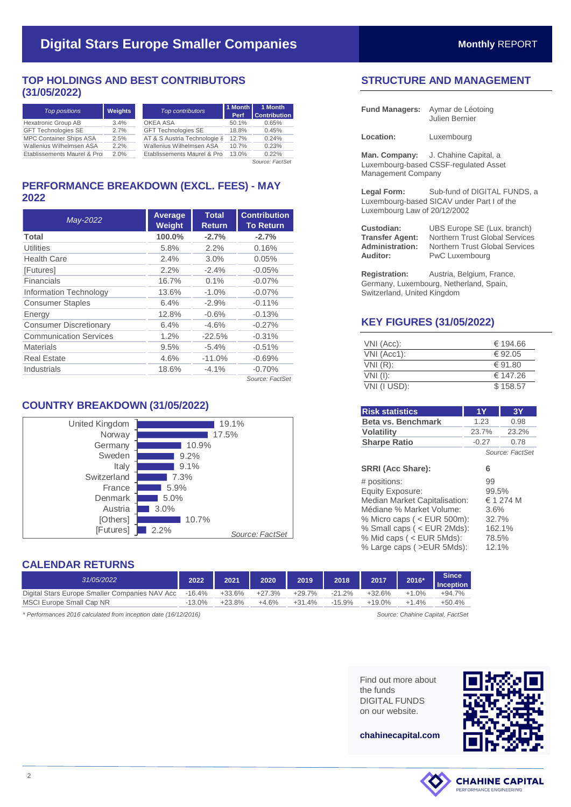### **TOP HOLDINGS AND BEST CONTRIBUTORS (31/05/2022)**

| <b>Weights</b>                      | Top contributors           | Perf  | 1 Month<br><b>Contribution</b>                                         |
|-------------------------------------|----------------------------|-------|------------------------------------------------------------------------|
| 3.4%                                | OKEA ASA                   | 50.1% | 0.65%                                                                  |
| 2.7%                                | <b>GFT Technologies SE</b> | 18.8% | 0.45%                                                                  |
| 2.5%                                |                            | 12.7% | 0.24%                                                                  |
| 2.2%                                | Wallenius Wilhelmsen ASA   | 10.7% | 0.23%                                                                  |
| Etablissements Maurel & Pro<br>2.0% |                            | 13.0% | 0.22%                                                                  |
|                                     |                            |       | 1 Month<br>AT & S Austria Technologie 8<br>Etablissements Maurel & Pro |

*Source: FactSet*

## **PERFORMANCE BREAKDOWN (EXCL. FEES) - MAY 2022**

| May-2022                      | Average<br>Weight | <b>Total</b><br><b>Return</b> | <b>Contribution</b><br><b>To Return</b> |
|-------------------------------|-------------------|-------------------------------|-----------------------------------------|
| Total                         | 100.0%            | $-2.7%$                       | $-2.7%$                                 |
| Utilities                     | 5.8%              | 2.2%                          | 0.16%                                   |
| <b>Health Care</b>            | 2.4%              | 3.0%                          | 0.05%                                   |
| [Futures]                     | 2.2%              | $-2.4%$                       | $-0.05%$                                |
| Financials                    | 16.7%             | 0.1%                          | $-0.07%$                                |
| Information Technology        | 13.6%             | $-1.0%$                       | $-0.07%$                                |
| <b>Consumer Staples</b>       | 6.4%              | $-2.9%$                       | $-0.11%$                                |
| Energy                        | 12.8%             | $-0.6%$                       | $-0.13%$                                |
| <b>Consumer Discretionary</b> | 6.4%              | $-4.6%$                       | $-0.27%$                                |
| <b>Communication Services</b> | 1.2%              | $-22.5%$                      | $-0.31%$                                |
| <b>Materials</b>              | 9.5%              | $-5.4%$                       | $-0.51%$                                |
| <b>Real Estate</b>            | 4.6%              | $-11.0%$                      | $-0.69%$                                |
| Industrials                   | 18.6%             | $-4.1%$                       | $-0.70%$                                |
|                               |                   |                               | Source: FactSet                         |

# **COUNTRY BREAKDOWN (31/05/2022)**



# **CALENDAR RETURNS**

| 31/05/2022                                     | 2022     | 2021     | 2020     | 2019     | 2018      | 2017      | 2016*   | <b>Since</b><br><b>Inception</b> |
|------------------------------------------------|----------|----------|----------|----------|-----------|-----------|---------|----------------------------------|
| Digital Stars Europe Smaller Companies NAV Acc | -16.4%   | +33.6%   | $+27.3%$ | $+29.7%$ | $-21.2\%$ | +32.6%    | $+1.0%$ | +94.7%                           |
| MSCI Europe Small Cap NR                       | $13.0\%$ | $+23.8%$ | $+4.6%$  | $+31.4%$ | $-15.9%$  | $+19.0\%$ | $+1.4%$ | $+50.4%$                         |
|                                                |          |          |          |          |           |           |         |                                  |

*\* Performances 2016 calculated from inception date (16/12/2016) Source: Chahine Capital, FactSet*

# **STRUCTURE AND MANAGEMENT**

| <b>Fund Managers:</b>                                               | Aymar de Léotoing<br>Julien Bernier                                                                                      |  |  |
|---------------------------------------------------------------------|--------------------------------------------------------------------------------------------------------------------------|--|--|
| Location:                                                           | Luxembourg                                                                                                               |  |  |
| Management Company                                                  | <b>Man. Company:</b> J. Chahine Capital, a<br>Luxembourg-based CSSF-regulated Asset                                      |  |  |
| Legal Form:<br>Luxembourg Law of 20/12/2002                         | Sub-fund of DIGITAL FUNDS, a<br>Luxembourg-based SICAV under Part I of the                                               |  |  |
| Custodian:<br><b>Transfer Agent:</b><br>Administration:<br>Auditor: | UBS Europe SE (Lux. branch)<br>Northern Trust Global Services<br>Northern Trust Global Services<br><b>PwC Luxembourg</b> |  |  |

**Registration:** Austria, Belgium, France, Germany, Luxembourg, Netherland, Spain, Switzerland, United Kingdom

PwC Luxembourg

## **KEY FIGURES (31/05/2022)**

| VNI (Acc):   | € 194.66 |
|--------------|----------|
| VNI (Acc1):  | € 92.05  |
| $VNI(R)$ :   | € 91.80  |
| $VNI$ (I):   | € 147.26 |
| VNI (I USD): | \$158.57 |

| <b>Risk statistics</b>                                                                                                                                                                                                     | 1Y                                             | 3Υ                      |
|----------------------------------------------------------------------------------------------------------------------------------------------------------------------------------------------------------------------------|------------------------------------------------|-------------------------|
| Beta vs. Benchmark                                                                                                                                                                                                         | 1.23                                           | 0.98                    |
| <b>Volatility</b>                                                                                                                                                                                                          | 23.7%                                          | 23.2%                   |
| <b>Sharpe Ratio</b>                                                                                                                                                                                                        | $-0.27$                                        | 0.78                    |
|                                                                                                                                                                                                                            |                                                | Source: FactSet         |
| <b>SRRI (Acc Share):</b>                                                                                                                                                                                                   | 6                                              |                         |
| # positions:<br>Equity Exposure:<br>Median Market Capitalisation:<br>Médiane % Market Volume:<br>% Micro caps ( $\lt$ EUR 500m):<br>% Small caps (< EUR 2Mds):<br>% Mid caps ( < EUR 5Mds):<br>% Large caps ( > EUR 5Mds): | 99<br>99.5%<br>3.6%<br>32.7%<br>78.5%<br>12.1% | $\in$ 1 274 M<br>162.1% |

Find out more about the funds DIGITAL FUNDS on our website.



**chahinecapital.com**